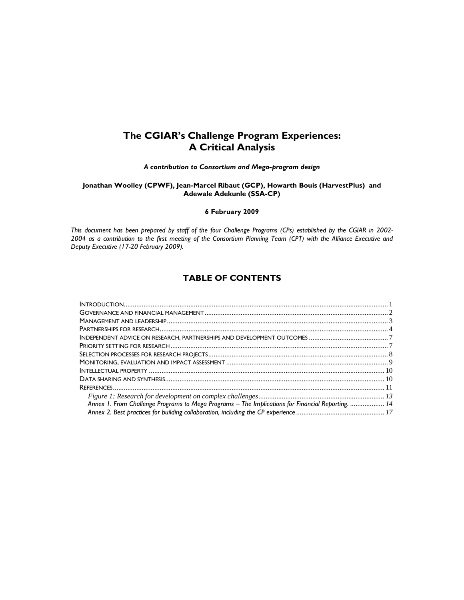# **The CGIAR's Challenge Program Experiences: A Critical Analysis**

*A contribution to Consortium and Mega-program design* 

**Jonathan Woolley (CPWF), Jean-Marcel Ribaut (GCP), Howarth Bouis (HarvestPlus) and Adewale Adekunle (SSA-CP)** 

**6 February 2009** 

*This document has been prepared by staff of the four Challenge Programs (CPs) established by the CGIAR in 2002- 2004 as a contribution to the first meeting of the Consortium Planning Team (CPT) with the Alliance Executive and Deputy Executive (17-20 February 2009).* 

# **TABLE OF CONTENTS**

| Annex 1. From Challenge Programs to Mega Programs - The Implications for Financial Reporting.  14 |  |
|---------------------------------------------------------------------------------------------------|--|
|                                                                                                   |  |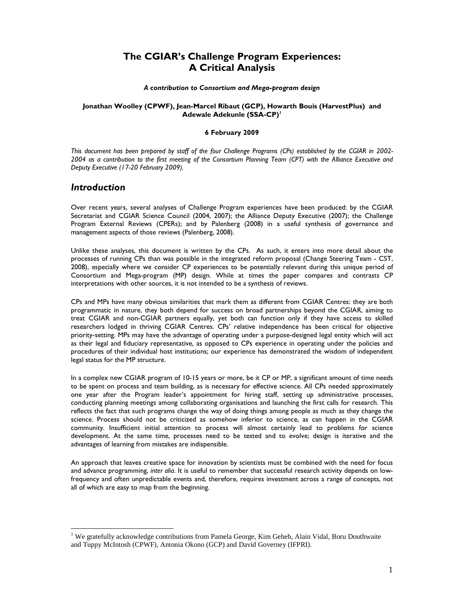# **The CGIAR's Challenge Program Experiences: A Critical Analysis**

#### *A contribution to Consortium and Mega-program design*

## **Jonathan Woolley (CPWF), Jean-Marcel Ribaut (GCP), Howarth Bouis (HarvestPlus) and Adewale Adekunle (SSA-CP)<sup>1</sup>**

## **6 February 2009**

*This document has been prepared by staff of the four Challenge Programs (CPs) established by the CGIAR in 2002- 2004 as a contribution to the first meeting of the Consortium Planning Team (CPT) with the Alliance Executive and Deputy Executive (17-20 February 2009).* 

# *Introduction*

 $\overline{a}$ 

Over recent years, several analyses of Challenge Program experiences have been produced: by the CGIAR Secretariat and CGIAR Science Council (2004, 2007); the Alliance Deputy Executive (2007); the Challenge Program External Reviews (CPERs); and by Palenberg (2008) in a useful synthesis of governance and management aspects of those reviews (Palenberg, 2008).

Unlike these analyses, this document is written by the CPs. As such, it enters into more detail about the processes of running CPs than was possible in the integrated reform proposal (Change Steering Team - CST, 2008), especially where we consider CP experiences to be potentially relevant during this unique period of Consortium and Mega-program (MP) design. While at times the paper compares and contrasts CP interpretations with other sources, it is not intended to be a synthesis of reviews.

CPs and MPs have many obvious similarities that mark them as different from CGIAR Centres: they are both programmatic in nature, they both depend for success on broad partnerships beyond the CGIAR, aiming to treat CGIAR and non-CGIAR partners equally, yet both can function only if they have access to skilled researchers lodged in thriving CGIAR Centres. CPs' relative independence has been critical for objective priority-setting. MPs may have the advantage of operating under a purpose-designed legal entity which will act as their legal and fiduciary representative, as opposed to CPs experience in operating under the policies and procedures of their individual host institutions; our experience has demonstrated the wisdom of independent legal status for the MP structure.

In a complex new CGIAR program of 10-15 years or more, be it CP or MP, a significant amount of time needs to be spent on process and team building, as is necessary for effective science. All CPs needed approximately one year after the Program leader's appointment for hiring staff, setting up administrative processes, conducting planning meetings among collaborating organisations and launching the first calls for research. This reflects the fact that such programs change the way of doing things among people as much as they change the science. Process should not be criticized as somehow inferior to science, as can happen in the CGIAR community. Insufficient initial attention to process will almost certainly lead to problems for science development. At the same time, processes need to be tested and to evolve; design is iterative and the advantages of learning from mistakes are indispensible.

An approach that leaves creative space for innovation by scientists must be combined with the need for focus and advance programming, *inter alia*. It is useful to remember that successful research activity depends on lowfrequency and often unpredictable events and, therefore, requires investment across a range of concepts, not all of which are easy to map from the beginning.

<sup>&</sup>lt;sup>1</sup> We gratefully acknowledge contributions from Pamela George, Kim Geheb, Alain Vidal, Boru Douthwaite and Tuppy McIntosh (CPWF), Antonia Okono (GCP) and David Governey (IFPRI).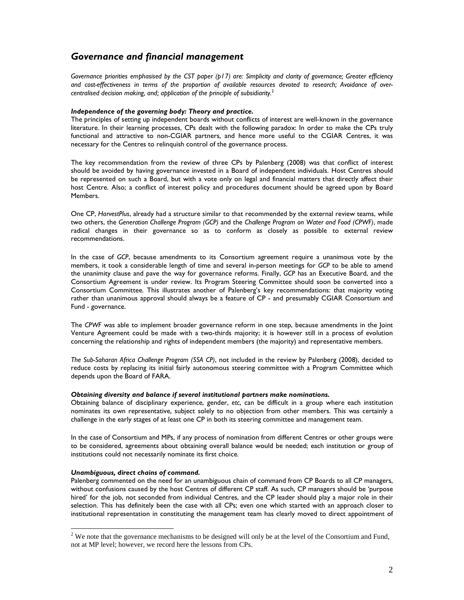# *Governance and financial management*

*Governance priorities emphasised by the CST paper (p17) are: Simplicity and clarity of governance; Greater efficiency and cost-effectiveness in terms of the proportion of available resources devoted to research; Avoidance of overcentralised decision making, and; application of the principle of subsidiarity.*<sup>2</sup>

### *Independence of the governing body: Theory and practice.*

The principles of setting up independent boards without conflicts of interest are well-known in the governance literature. In their learning processes, CPs dealt with the following paradox: In order to make the CPs truly functional and attractive to non-CGIAR partners, and hence more useful to the CGIAR Centres, it was necessary for the Centres to relinquish control of the governance process.

The key recommendation from the review of three CPs by Palenberg (2008) was that conflict of interest should be avoided by having governance invested in a Board of independent individuals. Host Centres should be represented on such a Board, but with a vote only on legal and financial matters that directly affect their host Centre. Also; a conflict of interest policy and procedures document should be agreed upon by Board Members.

One CP, *HarvestPlus*, already had a structure similar to that recommended by the external review teams, while two others, the *Generation Challenge Program (GCP)* and the *Challenge Program on Water and Food (CPWF)*, made radical changes in their governance so as to conform as closely as possible to external review recommendations.

In the case of *GCP*, because amendments to its Consortium agreement require a unanimous vote by the members, it took a considerable length of time and several in-person meetings for *GCP* to be able to amend the unanimity clause and pave the way for governance reforms. Finally, *GCP* has an Executive Board, and the Consortium Agreement is under review. Its Program Steering Committee should soon be converted into a Consortium Committee. This illustrates another of Palenberg's key recommendations: that majority voting rather than unanimous approval should always be a feature of CP - and presumably CGIAR Consortium and Fund - governance.

The *CPWF* was able to implement broader governance reform in one step, because amendments in the Joint Venture Agreement could be made with a two-thirds majority; it is however still in a process of evolution concerning the relationship and rights of independent members (the majority) and representative members.

*The Sub-Saharan Africa Challenge Program (SSA CP)*, not included in the review by Palenberg (2008), decided to reduce costs by replacing its initial fairly autonomous steering committee with a Program Committee which depends upon the Board of FARA.

## *Obtaining diversity and balance if several institutional partners make nominations.*

Obtaining balance of disciplinary experience, gender, *etc*, can be difficult in a group where each institution nominates its own representative, subject solely to no objection from other members. This was certainly a challenge in the early stages of at least one CP in both its steering committee and management team.

In the case of Consortium and MPs, if any process of nomination from different Centres or other groups were to be considered, agreements about obtaining overall balance would be needed; each institution or group of institutions could not necessarily nominate its first choice.

## *Unambiguous, direct chains of command.*

 $\overline{a}$ 

Palenberg commented on the need for an unambiguous chain of command from CP Boards to all CP managers, without confusions caused by the host Centres of different CP staff. As such, CP managers should be 'purpose hired' for the job, not seconded from individual Centres, and the CP leader should play a major role in their selection. This has definitely been the case with all CPs; even one which started with an approach closer to institutional representation in constituting the management team has clearly moved to direct appointment of

 $2^2$  We note that the governance mechanisms to be designed will only be at the level of the Consortium and Fund, not at MP level; however, we record here the lessons from CPs.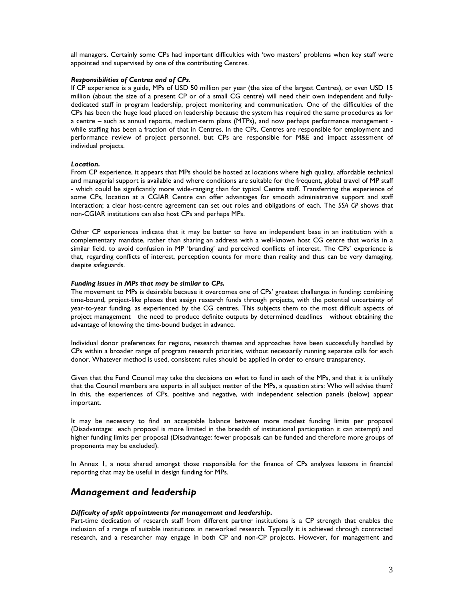all managers. Certainly some CPs had important difficulties with 'two masters' problems when key staff were appointed and supervised by one of the contributing Centres.

### *Responsibilities of Centres and of CPs.*

If CP experience is a guide, MPs of USD 50 million per year (the size of the largest Centres), or even USD 15 million (about the size of a present CP or of a small CG centre) will need their own independent and fullydedicated staff in program leadership, project monitoring and communication. One of the difficulties of the CPs has been the huge load placed on leadership because the system has required the same procedures as for a centre – such as annual reports, medium-term plans (MTPs), and now perhaps performance management while staffing has been a fraction of that in Centres. In the CPs, Centres are responsible for employment and performance review of project personnel, but CPs are responsible for M&E and impact assessment of individual projects.

#### *Location.*

From CP experience, it appears that MPs should be hosted at locations where high quality, affordable technical and managerial support is available and where conditions are suitable for the frequent, global travel of MP staff - which could be significantly more wide-ranging than for typical Centre staff. Transferring the experience of some CPs, location at a CGIAR Centre can offer advantages for smooth administrative support and staff interaction; a clear host-centre agreement can set out roles and obligations of each. The *SSA CP* shows that non-CGIAR institutions can also host CPs and perhaps MPs.

Other CP experiences indicate that it may be better to have an independent base in an institution with a complementary mandate, rather than sharing an address with a well-known host CG centre that works in a similar field, to avoid confusion in MP 'branding' and perceived conflicts of interest. The CPs' experience is that, regarding conflicts of interest, perception counts for more than reality and thus can be very damaging, despite safeguards.

#### *Funding issues in MPs that may be similar to CPs.*

The movement to MPs is desirable because it overcomes one of CPs' greatest challenges in funding: combining time-bound, project-like phases that assign research funds through projects, with the potential uncertainty of year-to-year funding, as experienced by the CG centres. This subjects them to the most difficult aspects of project management—the need to produce definite outputs by determined deadlines—without obtaining the advantage of knowing the time-bound budget in advance.

Individual donor preferences for regions, research themes and approaches have been successfully handled by CPs within a broader range of program research priorities, without necessarily running separate calls for each donor. Whatever method is used, consistent rules should be applied in order to ensure transparency.

Given that the Fund Council may take the decisions on what to fund in each of the MPs, and that it is unlikely that the Council members are experts in all subject matter of the MPs, a question stirs: Who will advise them? In this, the experiences of CPs, positive and negative, with independent selection panels (below) appear important.

It may be necessary to find an acceptable balance between more modest funding limits per proposal (Disadvantage: each proposal is more limited in the breadth of institutional participation it can attempt) and higher funding limits per proposal (Disadvantage: fewer proposals can be funded and therefore more groups of proponents may be excluded).

In Annex 1, a note shared amongst those responsible for the finance of CPs analyses lessons in financial reporting that may be useful in design funding for MPs.

# *Management and leadership*

#### *Difficulty of split appointments for management and leadership.*

Part-time dedication of research staff from different partner institutions is a CP strength that enables the inclusion of a range of suitable institutions in networked research. Typically it is achieved through contracted research, and a researcher may engage in both CP and non-CP projects. However, for management and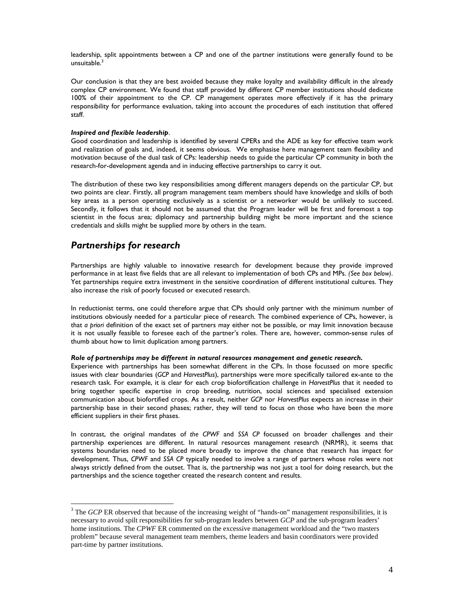leadership, split appointments between a CP and one of the partner institutions were generally found to be unsuitable. $3$ 

Our conclusion is that they are best avoided because they make loyalty and availability difficult in the already complex CP environment. We found that staff provided by different CP member institutions should dedicate 100% of their appointment to the CP. CP management operates more effectively if it has the primary responsibility for performance evaluation, taking into account the procedures of each institution that offered staff.

#### *Inspired and flexible leadership*.

Good coordination and leadership is identified by several CPERs and the ADE as key for effective team work and realization of goals and, indeed, it seems obvious. We emphasise here management team flexibility and motivation because of the dual task of CPs: leadership needs to guide the particular CP community in both the research-for-development agenda and in inducing effective partnerships to carry it out.

The distribution of these two key responsibilities among different managers depends on the particular CP, but two points are clear. Firstly, all program management team members should have knowledge and skills of both key areas as a person operating exclusively as a scientist or a networker would be unlikely to succeed. Secondly, it follows that it should not be assumed that the Program leader will be first and foremost a top scientist in the focus area; diplomacy and partnership building might be more important and the science credentials and skills might be supplied more by others in the team.

# *Partnerships for research*

 $\overline{a}$ 

Partnerships are highly valuable to innovative research for development because they provide improved performance in at least five fields that are all relevant to implementation of both CPs and MPs. *(See box below)*. Yet partnerships require extra investment in the sensitive coordination of different institutional cultures. They also increase the risk of poorly focused or executed research.

In reductionist terms, one could therefore argue that CPs should only partner with the minimum number of institutions obviously needed for a particular piece of research. The combined experience of CPs, however, is that *a priori* definition of the exact set of partners may either not be possible, or may limit innovation because it is not usually feasible to foresee each of the partner's roles. There are, however, common-sense rules of thumb about how to limit duplication among partners.

#### *Role of partnerships may be different in natural resources management and genetic research.*

Experience with partnerships has been somewhat different in the CPs. In those focussed on more specific issues with clear boundaries (*GCP* and *HarvestPlus*), partnerships were more specifically tailored ex-ante to the research task. For example, it is clear for each crop biofortification challenge in *HarvestPlus* that it needed to bring together specific expertise in crop breeding, nutrition, social sciences and specialised extension communication about biofortified crops. As a result, neither *GCP* nor *HarvestPlus* expects an increase in their partnership base in their second phases; rather, they will tend to focus on those who have been the more efficient suppliers in their first phases.

In contrast, the original mandates of *the CPWF* and *SSA CP* focussed on broader challenges and their partnership experiences are different. In natural resources management research (NRMR), it seems that systems boundaries need to be placed more broadly to improve the chance that research has impact for development. Thus, *CPWF* and *SSA CP* typically needed to involve a range of partners whose roles were not always strictly defined from the outset. That is, the partnership was not just a tool for doing research, but the partnerships and the science together created the research content and results.

<sup>&</sup>lt;sup>3</sup> The *GCP* ER observed that because of the increasing weight of "hands-on" management responsibilities, it is necessary to avoid spilt responsibilities for sub-program leaders between *GCP* and the sub-program leaders' home institutions. The *CPWF* ER commented on the excessive management workload and the "two masters" problem" because several management team members, theme leaders and basin coordinators were provided part-time by partner institutions.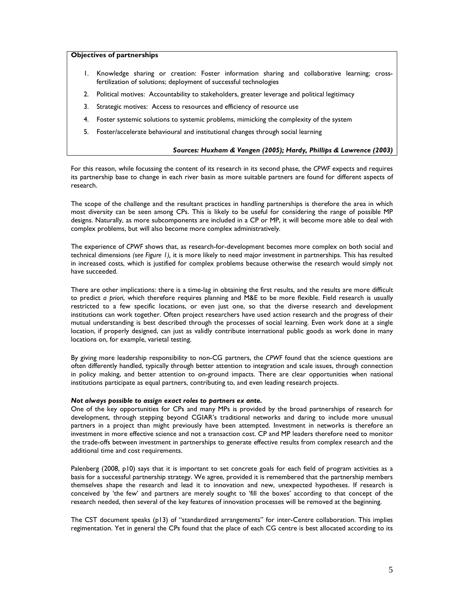### **Objectives of partnerships**

- 1. Knowledge sharing or creation: Foster information sharing and collaborative learning; crossfertilization of solutions; deployment of successful technologies
- 2. Political motives: Accountability to stakeholders, greater leverage and political legitimacy
- 3. Strategic motives: Access to resources and efficiency of resource use
- 4. Foster systemic solutions to systemic problems, mimicking the complexity of the system
- 5. Foster/accelerate behavioural and institutional changes through social learning

#### *Sources: Huxham & Vangen (2005); Hardy, Phillips & Lawrence (2003)*

For this reason, while focussing the content of its research in its second phase, the *CPWF* expects and requires its partnership base to change in each river basin as more suitable partners are found for different aspects of research.

The scope of the challenge and the resultant practices in handling partnerships is therefore the area in which most diversity can be seen among CPs. This is likely to be useful for considering the range of possible MP designs. Naturally, as more subcomponents are included in a CP or MP, it will become more able to deal with complex problems, but will also become more complex administratively.

The experience of *CPWF* shows that, as research-for-development becomes more complex on both social and technical dimensions *(see Figure 1),* it is more likely to need major investment in partnerships. This has resulted in increased costs, which is justified for complex problems because otherwise the research would simply not have succeeded.

There are other implications: there is a time-lag in obtaining the first results, and the results are more difficult to predict *a priori*, which therefore requires planning and M&E to be more flexible. Field research is usually restricted to a few specific locations, or even just one, so that the diverse research and development institutions can work together. Often project researchers have used action research and the progress of their mutual understanding is best described through the processes of social learning. Even work done at a single location, if properly designed, can just as validly contribute international public goods as work done in many locations on, for example, varietal testing.

By giving more leadership responsibility to non-CG partners, the *CPWF* found that the science questions are often differently handled, typically through better attention to integration and scale issues, through connection in policy making, and better attention to on-ground impacts. There are clear opportunities when national institutions participate as equal partners, contributing to, and even leading research projects.

## *Not always possible to assign exact roles to partners ex ante.*

One of the key opportunities for CPs and many MPs is provided by the broad partnerships of research for development, through stepping beyond CGIAR's traditional networks and daring to include more unusual partners in a project than might previously have been attempted. Investment in networks is therefore an investment in more effective science and not a transaction cost. CP and MP leaders therefore need to monitor the trade-offs between investment in partnerships to generate effective results from complex research and the additional time and cost requirements.

Palenberg (2008, p10) says that it is important to set concrete goals for each field of program activities as a basis for a successful partnership strategy. We agree, provided it is remembered that the partnership members themselves shape the research and lead it to innovation and new, unexpected hypotheses. If research is conceived by 'the few' and partners are merely sought to 'fill the boxes' according to that concept of the research needed, then several of the key features of innovation processes will be removed at the beginning.

The CST document speaks (p13) of "standardized arrangements" for inter-Centre collaboration. This implies regimentation. Yet in general the CPs found that the place of each CG centre is best allocated according to its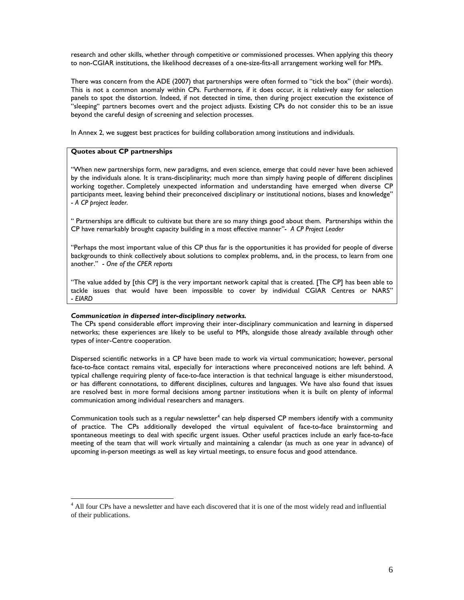research and other skills, whether through competitive or commissioned processes. When applying this theory to non-CGIAR institutions, the likelihood decreases of a one-size-fits-all arrangement working well for MPs.

There was concern from the ADE (2007) that partnerships were often formed to "tick the box" (their words). This is not a common anomaly within CPs. Furthermore, if it does occur, it is relatively easy for selection panels to spot the distortion. Indeed, if not detected in time, then during project execution the existence of "sleeping" partners becomes overt and the project adjusts. Existing CPs do not consider this to be an issue beyond the careful design of screening and selection processes.

In Annex 2, we suggest best practices for building collaboration among institutions and individuals.

## **Quotes about CP partnerships**

 $\ddot{\phantom{a}}$ 

"When new partnerships form, new paradigms, and even science, emerge that could never have been achieved by the individuals alone. It is trans-disciplinarity; much more than simply having people of different disciplines working together. Completely unexpected information and understanding have emerged when diverse CP participants meet, leaving behind their preconceived disciplinary or institutional notions, biases and knowledge" - *A CP project leader.* 

" Partnerships are difficult to cultivate but there are so many things good about them. Partnerships within the CP have remarkably brought capacity building in a most effective manner"- *A CP Project Leader* 

"Perhaps the most important value of this CP thus far is the opportunities it has provided for people of diverse backgrounds to think collectively about solutions to complex problems, and, in the process, to learn from one another." - *One of the CPER reports*

"The value added by [this CP] is the very important network capital that is created. [The CP] has been able to tackle issues that would have been impossible to cover by individual CGIAR Centres or NARS" - *EIARD*

#### *Communication in dispersed inter-disciplinary networks.*

The CPs spend considerable effort improving their inter-disciplinary communication and learning in dispersed networks; these experiences are likely to be useful to MPs, alongside those already available through other types of inter-Centre cooperation.

Dispersed scientific networks in a CP have been made to work via virtual communication; however, personal face-to-face contact remains vital, especially for interactions where preconceived notions are left behind. A typical challenge requiring plenty of face-to-face interaction is that technical language is either misunderstood, or has different connotations, to different disciplines, cultures and languages. We have also found that issues are resolved best in more formal decisions among partner institutions when it is built on plenty of informal communication among individual researchers and managers.

Communication tools such as a regular newsletter<sup>4</sup> can help dispersed CP members identify with a community of practice. The CPs additionally developed the virtual equivalent of face-to-face brainstorming and spontaneous meetings to deal with specific urgent issues. Other useful practices include an early face-to-face meeting of the team that will work virtually and maintaining a calendar (as much as one year in advance) of upcoming in-person meetings as well as key virtual meetings, to ensure focus and good attendance.

<sup>&</sup>lt;sup>4</sup> All four CPs have a newsletter and have each discovered that it is one of the most widely read and influential of their publications.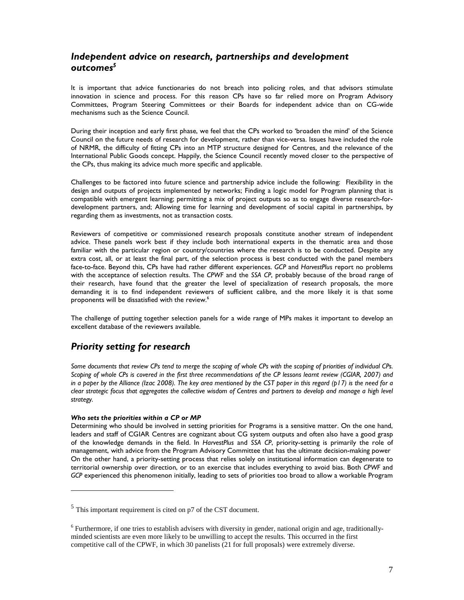# *Independent advice on research, partnerships and development outcomes<sup>5</sup>*

It is important that advice functionaries do not breach into policing roles, and that advisors stimulate innovation in science and process. For this reason CPs have so far relied more on Program Advisory Committees, Program Steering Committees or their Boards for independent advice than on CG-wide mechanisms such as the Science Council.

During their inception and early first phase, we feel that the CPs worked to 'broaden the mind' of the Science Council on the future needs of research for development, rather than vice-versa. Issues have included the role of NRMR, the difficulty of fitting CPs into an MTP structure designed for Centres, and the relevance of the International Public Goods concept. Happily, the Science Council recently moved closer to the perspective of the CPs, thus making its advice much more specific and applicable.

Challenges to be factored into future science and partnership advice include the following: Flexibility in the design and outputs of projects implemented by networks; Finding a logic model for Program planning that is compatible with emergent learning; permitting a mix of project outputs so as to engage diverse research-fordevelopment partners, and; Allowing time for learning and development of social capital in partnerships, by regarding them as investments, not as transaction costs.

Reviewers of competitive or commissioned research proposals constitute another stream of independent advice. These panels work best if they include both international experts in the thematic area and those familiar with the particular region or country/countries where the research is to be conducted. Despite any extra cost, all, or at least the final part, of the selection process is best conducted with the panel members face-to-face. Beyond this, CPs have had rather different experiences. *GCP* and *HarvestPlus* report no problems with the acceptance of selection results. The *CPWF* and the *SSA CP*, probably because of the broad range of their research, have found that the greater the level of specialization of research proposals, the more demanding it is to find independent reviewers of sufficient calibre, and the more likely it is that some proponents will be dissatisfied with the review.<sup>6</sup>

The challenge of putting together selection panels for a wide range of MPs makes it important to develop an excellent database of the reviewers available.

# *Priority setting for research*

*Some documents that review CPs tend to merge the scoping of whole CPs with the scoping of priorities of individual CPs. Scoping of whole CPs is covered in the first three recommendations of the CP lessons learnt review (CGIAR, 2007) and in a paper by the Alliance (Izac 2008). The key area mentioned by the CST paper in this regard (p17) is the need for a clear strategic focus that aggregates the collective wisdom of Centres and partners to develop and manage a high level strategy.* 

## *Who sets the priorities within a CP or MP*

 $\overline{a}$ 

Determining who should be involved in setting priorities for Programs is a sensitive matter. On the one hand, leaders and staff of CGIAR Centres are cognizant about CG system outputs and often also have a good grasp of the knowledge demands in the field. In *HarvestPlus* and *SSA CP*, priority-setting is primarily the role of management, with advice from the Program Advisory Committee that has the ultimate decision-making power On the other hand, a priority-setting process that relies solely on institutional information can degenerate to territorial ownership over direction, or to an exercise that includes everything to avoid bias. Both *CPWF* and *GCP* experienced this phenomenon initially, leading to sets of priorities too broad to allow a workable Program

 $<sup>5</sup>$  This important requirement is cited on p7 of the CST document.</sup>

<sup>&</sup>lt;sup>6</sup> Furthermore, if one tries to establish advisers with diversity in gender, national origin and age, traditionallyminded scientists are even more likely to be unwilling to accept the results. This occurred in the first competitive call of the CPWF, in which 30 panelists (21 for full proposals) were extremely diverse.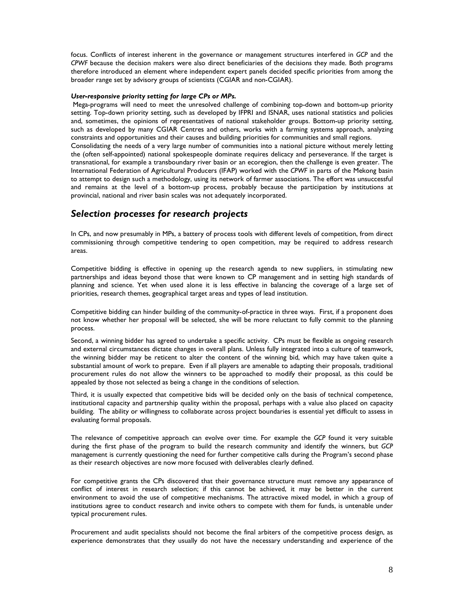focus. Conflicts of interest inherent in the governance or management structures interfered in *GCP* and the *CPWF* because the decision makers were also direct beneficiaries of the decisions they made. Both programs therefore introduced an element where independent expert panels decided specific priorities from among the broader range set by advisory groups of scientists (CGIAR and non-CGIAR).

#### *User-responsive priority setting for large CPs or MPs.*

 Mega-programs will need to meet the unresolved challenge of combining top-down and bottom-up priority setting. Top-down priority setting, such as developed by IFPRI and ISNAR, uses national statistics and policies and, sometimes, the opinions of representatives of national stakeholder groups. Bottom-up priority setting, such as developed by many CGIAR Centres and others, works with a farming systems approach, analyzing constraints and opportunities and their causes and building priorities for communities and small regions. Consolidating the needs of a very large number of communities into a national picture without merely letting the (often self-appointed) national spokespeople dominate requires delicacy and perseverance. If the target is transnational, for example a transboundary river basin or an ecoregion, then the challenge is even greater. The International Federation of Agricultural Producers (IFAP) worked with the *CPWF* in parts of the Mekong basin to attempt to design such a methodology, using its network of farmer associations. The effort was unsuccessful and remains at the level of a bottom-up process, probably because the participation by institutions at provincial, national and river basin scales was not adequately incorporated.

# *Selection processes for research projects*

In CPs, and now presumably in MPs, a battery of process tools with different levels of competition, from direct commissioning through competitive tendering to open competition, may be required to address research areas.

Competitive bidding is effective in opening up the research agenda to new suppliers, in stimulating new partnerships and ideas beyond those that were known to CP management and in setting high standards of planning and science. Yet when used alone it is less effective in balancing the coverage of a large set of priorities, research themes, geographical target areas and types of lead institution.

Competitive bidding can hinder building of the community-of-practice in three ways. First, if a proponent does not know whether her proposal will be selected, she will be more reluctant to fully commit to the planning process.

Second, a winning bidder has agreed to undertake a specific activity. CPs must be flexible as ongoing research and external circumstances dictate changes in overall plans. Unless fully integrated into a culture of teamwork, the winning bidder may be reticent to alter the content of the winning bid, which may have taken quite a substantial amount of work to prepare. Even if all players are amenable to adapting their proposals, traditional procurement rules do not allow the winners to be approached to modify their proposal, as this could be appealed by those not selected as being a change in the conditions of selection.

Third, it is usually expected that competitive bids will be decided only on the basis of technical competence, institutional capacity and partnership quality within the proposal, perhaps with a value also placed on capacity building. The ability or willingness to collaborate across project boundaries is essential yet difficult to assess in evaluating formal proposals.

The relevance of competitive approach can evolve over time. For example the *GCP* found it very suitable during the first phase of the program to build the research community and identify the winners, but *GCP* management is currently questioning the need for further competitive calls during the Program's second phase as their research objectives are now more focused with deliverables clearly defined.

For competitive grants the CPs discovered that their governance structure must remove any appearance of conflict of interest in research selection; if this cannot be achieved, it may be better in the current environment to avoid the use of competitive mechanisms. The attractive mixed model, in which a group of institutions agree to conduct research and invite others to compete with them for funds, is untenable under typical procurement rules.

Procurement and audit specialists should not become the final arbiters of the competitive process design, as experience demonstrates that they usually do not have the necessary understanding and experience of the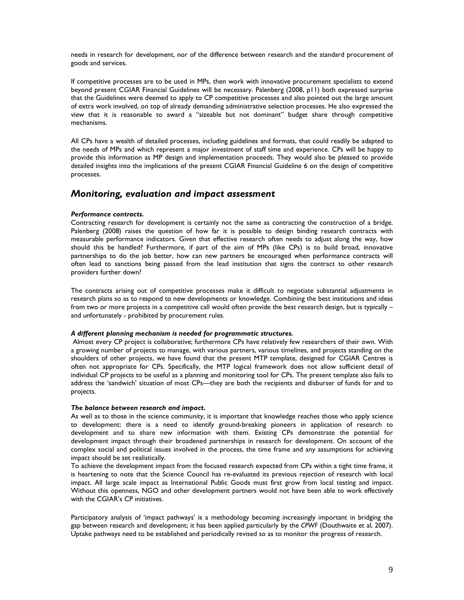needs in research for development, nor of the difference between research and the standard procurement of goods and services.

If competitive processes are to be used in MPs, then work with innovative procurement specialists to extend beyond present CGIAR Financial Guidelines will be necessary. Palenberg (2008, p11) both expressed surprise that the Guidelines were deemed to apply to CP competitive processes and also pointed out the large amount of extra work involved, on top of already demanding administrative selection processes. He also expressed the view that it is reasonable to award a "sizeable but not dominant" budget share through competitive mechanisms.

All CPs have a wealth of detailed processes, including guidelines and formats, that could readily be adapted to the needs of MPs and which represent a major investment of staff time and experience. CPs will be happy to provide this information as MP design and implementation proceeds. They would also be pleased to provide detailed insights into the implications of the present CGIAR Financial Guideline 6 on the design of competitive processes.

# *Monitoring, evaluation and impact assessment*

## *Performance contracts.*

Contracting research for development is certainly not the same as contracting the construction of a bridge. Palenberg (2008) raises the question of how far it is possible to design binding research contracts with measurable performance indicators. Given that effective research often needs to adjust along the way, how should this be handled? Furthermore, if part of the aim of MPs (like CPs) is to build broad, innovative partnerships to do the job better, how can new partners be encouraged when performance contracts will often lead to sanctions being passed from the lead institution that signs the contract to other research providers further down?

The contracts arising out of competitive processes make it difficult to negotiate substantial adjustments in research plans so as to respond to new developments or knowledge. Combining the best institutions and ideas from two or more projects in a competitive call would often provide the best research design, but is typically – and unfortunately - prohibited by procurement rules.

#### *A different planning mechanism is needed for programmatic structures.*

 Almost every CP project is collaborative; furthermore CPs have relatively few researchers of their own. With a growing number of projects to manage, with various partners, various timelines, and projects standing on the shoulders of other projects, we have found that the present MTP template, designed for CGIAR Centres is often not appropriate for CPs. Specifically, the MTP logical framework does not allow sufficient detail of individual CP projects to be useful as a planning and monitoring tool for CPs. The present template also fails to address the 'sandwich' situation of most CPs—they are both the recipients and disburser of funds for and to projects.

#### *The balance between research and impact.*

As well as to those in the science community, it is important that knowledge reaches those who apply science to development; there is a need to identify ground-breaking pioneers in application of research to development and to share new information with them. Existing CPs demonstrate the potential for development impact through their broadened partnerships in research for development. On account of the complex social and political issues involved in the process, the time frame and any assumptions for achieving impact should be set realistically.

To achieve the development impact from the focused research expected from CPs within a tight time frame, it is heartening to note that the Science Council has re-evaluated its previous rejection of research with local impact. All large scale impact as International Public Goods must first grow from local testing and impact. Without this openness, NGO and other development partners would not have been able to work effectively with the CGIAR's CP initiatives.

Participatory analysis of 'impact pathways' is a methodology becoming increasingly important in bridging the gap between research and development; it has been applied particularly by the *CPWF* (Douthwaite et al, 2007). Uptake pathways need to be established and periodically revised so as to monitor the progress of research.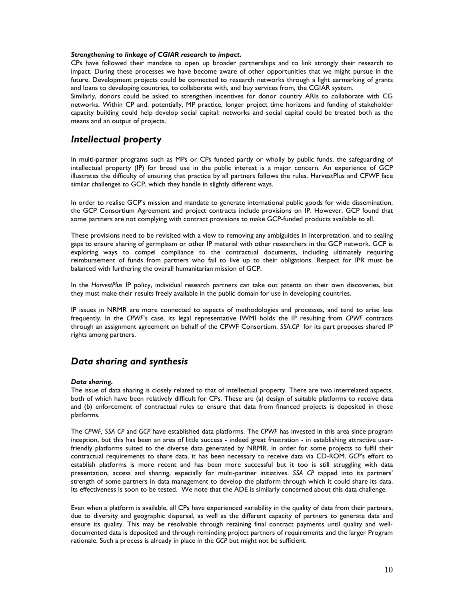#### *Strengthening to linkage of CGIAR research to impact.*

CPs have followed their mandate to open up broader partnerships and to link strongly their research to impact. During these processes we have become aware of other opportunities that we might pursue in the future. Development projects could be connected to research networks through a light earmarking of grants and loans to developing countries, to collaborate with, and buy services from, the CGIAR system.

Similarly, donors could be asked to strengthen incentives for donor country ARIs to collaborate with CG networks. Within CP and, potentially, MP practice, longer project time horizons and funding of stakeholder capacity building could help develop social capital: networks and social capital could be treated both as the means and an output of projects.

# *Intellectual property*

In multi-partner programs such as MPs or CPs funded partly or wholly by public funds, the safeguarding of intellectual property (IP) for broad use in the public interest is a major concern. An experience of GCP illustrates the difficulty of ensuring that practice by all partners follows the rules. HarvestPlus and CPWF face similar challenges to GCP, which they handle in slightly different ways.

In order to realise GCP's mission and mandate to generate international public goods for wide dissemination, the GCP Consortium Agreement and project contracts include provisions on IP. However, GCP found that some partners are not complying with contract provisions to make GCP-funded products available to all.

These provisions need to be revisited with a view to removing any ambiguities in interpretation, and to sealing gaps to ensure sharing of germplasm or other IP material with other researchers in the GCP network. GCP is exploring ways to compel compliance to the contractual documents, including ultimately requiring reimbursement of funds from partners who fail to live up to their obligations. Respect for IPR must be balanced with furthering the overall humanitarian mission of GCP.

In the *HarvestPlus* IP policy, individual research partners can take out patents on their own discoveries, but they must make their results freely available in the public domain for use in developing countries.

IP issues in NRMR are more connected to aspects of methodologies and processes, and tend to arise less frequently. In the *CPWF*'s case, its legal representative IWMI holds the IP resulting from *CPWF* contracts through an assignment agreement on behalf of the CPWF Consortium. *SSA*,*CP* for its part proposes shared IP rights among partners.

# *Data sharing and synthesis*

## *Data sharing.*

The issue of data sharing is closely related to that of intellectual property. There are two interrelated aspects, both of which have been relatively difficult for CPs. These are (a) design of suitable platforms to receive data and (b) enforcement of contractual rules to ensure that data from financed projects is deposited in those platforms.

The *CPWF, SSA CP* and *GCP* have established data platforms. The *CPWF* has invested in this area since program inception, but this has been an area of little success - indeed great frustration - in establishing attractive userfriendly platforms suited to the diverse data generated by NRMR. In order for some projects to fulfil their contractual requirements to share data, it has been necessary to receive data via CD-ROM. *GCP*'s effort to establish platforms is more recent and has been more successful but it too is still struggling with data presentation, access and sharing, especially for multi-partner initiatives. *SSA CP* tapped into its partners' strength of some partners in data management to develop the platform through which it could share its data. Its effectiveness is soon to be tested. We note that the ADE is similarly concerned about this data challenge.

Even when a platform is available, all CPs have experienced variability in the quality of data from their partners, due to diversity and geographic dispersal, as well as the different capacity of partners to generate data and ensure its quality. This may be resolvable through retaining final contract payments until quality and welldocumented data is deposited and through reminding project partners of requirements and the larger Program rationale. Such a process is already in place in the *GCP* but might not be sufficient.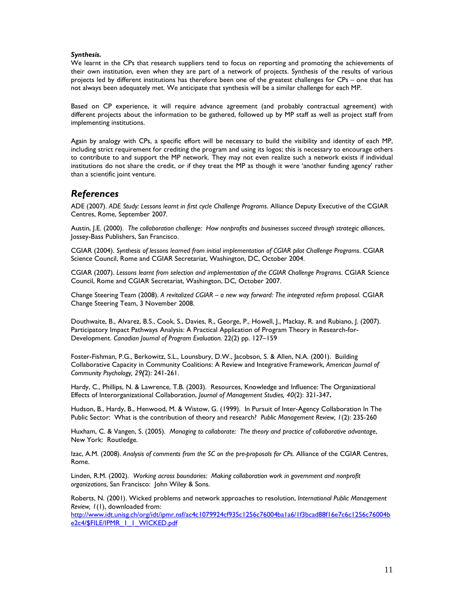### *Synthesis.*

We learnt in the CPs that research suppliers tend to focus on reporting and promoting the achievements of their own institution, even when they are part of a network of projects. Synthesis of the results of various projects led by different institutions has therefore been one of the greatest challenges for CPs – one that has not always been adequately met. We anticipate that synthesis will be a similar challenge for each MP.

Based on CP experience, it will require advance agreement (and probably contractual agreement) with different projects about the information to be gathered, followed up by MP staff as well as project staff from implementing institutions.

Again by analogy with CPs, a specific effort will be necessary to build the visibility and identity of each MP, including strict requirement for crediting the program and using its logos; this is necessary to encourage others to contribute to and support the MP network. They may not even realize such a network exists if individual institutions do not share the credit, or if they treat the MP as though it were 'another funding agency' rather than a scientific joint venture.

# *References*

ADE (2007). *ADE Study: Lessons learnt in first cycle Challenge Programs*. Alliance Deputy Executive of the CGIAR Centres, Rome, September 2007.

Austin, J.E. (2000). *The collaboration challenge: How nonprofits and businesses succeed through strategic alliances*, Jossey-Bass Publishers, San Francisco.

CGIAR (2004). *Synthesis of lessons learned from initial implementation of CGIAR pilot Challenge Programs*. CGIAR Science Council, Rome and CGIAR Secretariat, Washington, DC, October 2004.

CGIAR (2007). *Lessons learnt from selection and implementation of the CGIAR Challenge Programs*. CGIAR Science Council, Rome and CGIAR Secretariat, Washington, DC, October 2007.

Change Steering Team (2008). *A revitalized CGIAR – a new way forward: The integrated reform proposal*. CGIAR Change Steering Team, 3 November 2008.

Douthwaite, B., Alvarez, B.S., Cook, S., Davies, R., George, P., Howell, J., Mackay, R. and Rubiano, J. (2007). Participatory Impact Pathways Analysis: A Practical Application of Program Theory in Research-for-Development. *Canadian Journal of Program Evaluation.* 22(2) pp. 127–159

Foster-Fishman, P.G., Berkowitz, S.L., Lounsbury, D.W., Jacobson, S. & Allen, N.A. (2001). Building Collaborative Capacity in Community Coalitions: A Review and Integrative Framework, *American Journal of Community Psychology, 29(*2): 241-261.

Hardy, C., Phillips, N. & Lawrence, T.B. (2003). Resources, Knowledge and Influence: The Organizational Effects of Interorganizational Collaboration, *Journal of Management Studies, 40*(2): 321-347**.**

Hudson, B., Hardy, B., Henwood, M. & Wistow, G. (1999). In Pursuit of Inter-Agency Collaboration In The Public Sector: What is the contribution of theory and research? *Public Management Review, 1*(2): 235-260

Huxham, C. & Vangen, S. (2005). *Managing to collaborate: The theory and practice of collaborative advantage*, New York: Routledge.

Izac, A.M. (2008). *Analysis of comments from the SC on the pre-proposals for CPs.* Alliance of the CGIAR Centres, Rome.

Linden, R.M. (2002). *Working across boundaries: Making collaboration work in government and nonprofit organizations*, San Francisco: John Wiley & Sons.

Roberts, N. (2001). Wicked problems and network approaches to resolution, *International Public Management Review, 1*(1), downloaded from:

http://www.idt.unisg.ch/org/idt/ipmr.nsf/ac4c1079924cf935c1256c76004ba1a6/1f3bcad88f16e7c6c1256c76004b e2c4/\$FILE/IPMR\_I\_I\_WICKED.pdf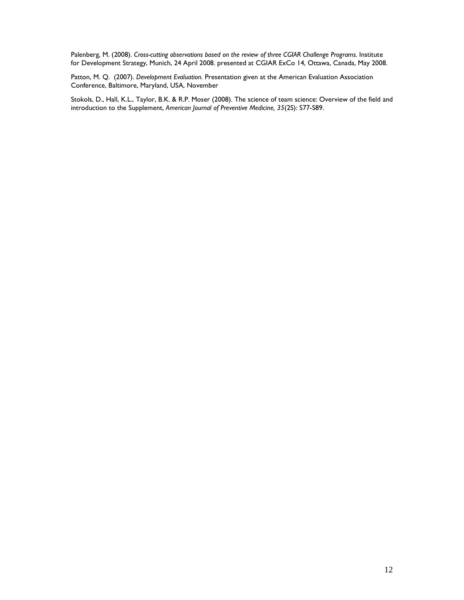Palenberg, M. (2008). *Cross-cutting observations based on the review of three CGIAR Challenge Programs.* Institute for Development Strategy, Munich, 24 April 2008. presented at CGIAR ExCo 14, Ottawa, Canada, May 2008.

Patton, M. Q. (2007). *Development Evaluation*. Presentation given at the American Evaluation Association Conference, Baltimore, Maryland, USA, November

Stokols, D., Hall, K.L., Taylor, B.K. & R.P. Moser (2008). The science of team science: Overview of the field and introduction to the Supplement, *American Journal of Preventive Medicine, 35*(2S): S77-S89.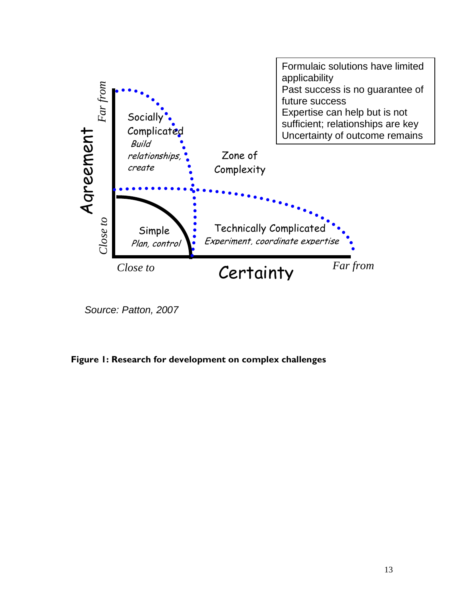

Source: Patton, 2007

**Figure 1: Research for development on complex challenges**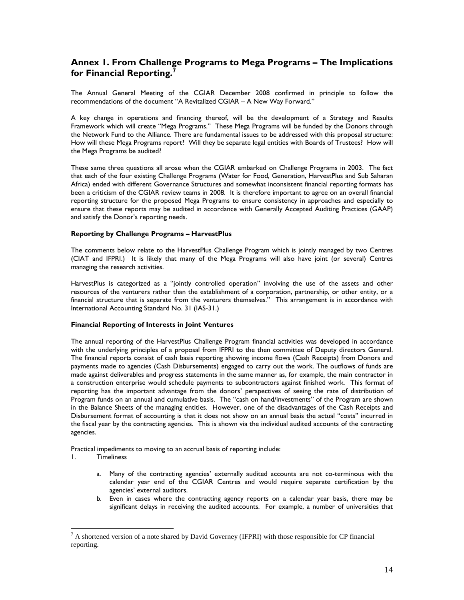# **Annex 1. From Challenge Programs to Mega Programs – The Implications for Financial Reporting.<sup>7</sup>**

The Annual General Meeting of the CGIAR December 2008 confirmed in principle to follow the recommendations of the document "A Revitalized CGIAR – A New Way Forward."

A key change in operations and financing thereof, will be the development of a Strategy and Results Framework which will create "Mega Programs." These Mega Programs will be funded by the Donors through the Network Fund to the Alliance. There are fundamental issues to be addressed with this proposal structure: How will these Mega Programs report? Will they be separate legal entities with Boards of Trustees? How will the Mega Programs be audited?

These same three questions all arose when the CGIAR embarked on Challenge Programs in 2003. The fact that each of the four existing Challenge Programs (Water for Food, Generation, HarvestPlus and Sub Saharan Africa) ended with different Governance Structures and somewhat inconsistent financial reporting formats has been a criticism of the CGIAR review teams in 2008. It is therefore important to agree on an overall financial reporting structure for the proposed Mega Programs to ensure consistency in approaches and especially to ensure that these reports may be audited in accordance with Generally Accepted Auditing Practices (GAAP) and satisfy the Donor's reporting needs.

## **Reporting by Challenge Programs – HarvestPlus**

The comments below relate to the HarvestPlus Challenge Program which is jointly managed by two Centres (CIAT and IFPRI.) It is likely that many of the Mega Programs will also have joint (or several) Centres managing the research activities.

HarvestPlus is categorized as a "jointly controlled operation" involving the use of the assets and other resources of the venturers rather than the establishment of a corporation, partnership, or other entity, or a financial structure that is separate from the venturers themselves." This arrangement is in accordance with International Accounting Standard No. 31 (IAS-31.)

## **Financial Reporting of Interests in Joint Ventures**

The annual reporting of the HarvestPlus Challenge Program financial activities was developed in accordance with the underlying principles of a proposal from IFPRI to the then committee of Deputy directors General. The financial reports consist of cash basis reporting showing income flows (Cash Receipts) from Donors and payments made to agencies (Cash Disbursements) engaged to carry out the work. The outflows of funds are made against deliverables and progress statements in the same manner as, for example, the main contractor in a construction enterprise would schedule payments to subcontractors against finished work. This format of reporting has the important advantage from the donors' perspectives of seeing the rate of distribution of Program funds on an annual and cumulative basis. The "cash on hand/investments" of the Program are shown in the Balance Sheets of the managing entities. However, one of the disadvantages of the Cash Receipts and Disbursement format of accounting is that it does not show on an annual basis the actual "costs" incurred in the fiscal year by the contracting agencies. This is shown via the individual audited accounts of the contracting agencies.

Practical impediments to moving to an accrual basis of reporting include:

1. Timeliness

 $\overline{a}$ 

- a. Many of the contracting agencies' externally audited accounts are not co-terminous with the calendar year end of the CGIAR Centres and would require separate certification by the agencies' external auditors.
- b. Even in cases where the contracting agency reports on a calendar year basis, there may be significant delays in receiving the audited accounts. For example, a number of universities that

 $<sup>7</sup>$  A shortened version of a note shared by David Governey (IFPRI) with those responsible for CP financial</sup> reporting.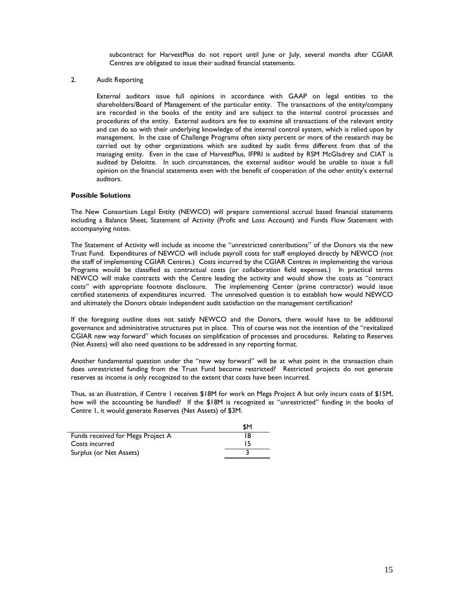subcontract for HarvestPlus do not report until June or July, several months after CGIAR Centres are obligated to issue their audited financial statements.

2. Audit Reporting

External auditors issue full opinions in accordance with GAAP on legal entities to the shareholders/Board of Management of the particular entity. The transactions of the entity/company are recorded in the books of the entity and are subject to the internal control processes and procedures of the entity. External auditors are fee to examine all transactions of the relevant entity and can do so with their underlying knowledge of the internal control system, which is relied upon by management. In the case of Challenge Programs often sixty percent or more of the research may be carried out by other organizations which are audited by audit firms different from that of the managing entity. Even in the case of HarvestPlus, IFPRI is audited by RSM McGladrey and CIAT is audited by Deloitte. In such circumstances, the external auditor would be unable to issue a full opinion on the financial statements even with the benefit of cooperation of the other entity's external auditors.

## **Possible Solutions**

The New Consortium Legal Entity (NEWCO) will prepare conventional accrual based financial statements including a Balance Sheet, Statement of Activity (Profit and Loss Account) and Funds Flow Statement with accompanying notes.

The Statement of Activity will include as income the "unrestricted contributions" of the Donors via the new Trust Fund. Expenditures of NEWCO will include payroll costs for staff employed directly by NEWCO (not the staff of implementing CGIAR Centres.) Costs incurred by the CGIAR Centres in implementing the various Programs would be classified as contractual costs (or collaboration field expenses.) In practical terms NEWCO will make contracts with the Centre leading the activity and would show the costs as "contract costs" with appropriate footnote disclosure. The implementing Center (prime contractor) would issue certified statements of expenditures incurred. The unresolved question is to establish how would NEWCO and ultimately the Donors obtain independent audit satisfaction on the management certification?

If the foregoing outline does not satisfy NEWCO and the Donors, there would have to be additional governance and administrative structures put in place. This of course was not the intention of the "revitalized CGIAR new way forward" which focuses on simplification of processes and procedures. Relating to Reserves (Net Assets) will also need questions to be addressed in any reporting format.

Another fundamental question under the "new way forward" will be at what point in the transaction chain does unrestricted funding from the Trust Fund become restricted? Restricted projects do not generate reserves as income is only recognized to the extent that costs have been incurred.

Thus, as an illustration, if Centre 1 receives \$18M for work on Mega Project A but only incurs costs of \$15M, how will the accounting be handled? If the \$18M is recognized as "unrestricted" funding in the books of Centre 1, it would generate Reserves (Net Assets) of \$3M.

|                                   | \$M |
|-----------------------------------|-----|
| Funds received for Mega Project A | 18  |
| Costs incurred                    |     |
| Surplus (or Net Assets)           |     |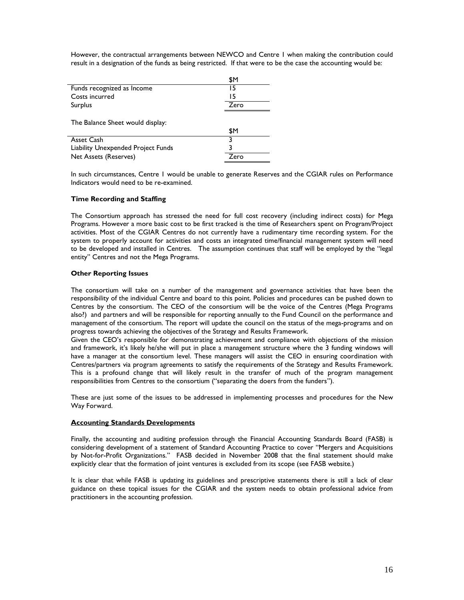However, the contractual arrangements between NEWCO and Centre 1 when making the contribution could result in a designation of the funds as being restricted. If that were to be the case the accounting would be:

|                                    | \$Μ  |
|------------------------------------|------|
| Funds recognized as Income         | 15   |
| Costs incurred                     | 15   |
| Surplus                            | Zero |
| The Balance Sheet would display:   | \$Μ  |
| Asset Cash                         |      |
| Liability Unexpended Project Funds |      |
| Net Assets (Reserves)              | Zero |

In such circumstances, Centre 1 would be unable to generate Reserves and the CGIAR rules on Performance Indicators would need to be re-examined.

#### **Time Recording and Staffing**

The Consortium approach has stressed the need for full cost recovery (including indirect costs) for Mega Programs. However a more basic cost to be first tracked is the time of Researchers spent on Program/Project activities. Most of the CGIAR Centres do not currently have a rudimentary time recording system. For the system to properly account for activities and costs an integrated time/financial management system will need to be developed and installed in Centres. The assumption continues that staff will be employed by the "legal entity" Centres and not the Mega Programs.

## **Other Reporting Issues**

The consortium will take on a number of the management and governance activities that have been the responsibility of the individual Centre and board to this point. Policies and procedures can be pushed down to Centres by the consortium. The CEO of the consortium will be the voice of the Centres (Mega Programs also?) and partners and will be responsible for reporting annually to the Fund Council on the performance and management of the consortium. The report will update the council on the status of the mega-programs and on progress towards achieving the objectives of the Strategy and Results Framework.

Given the CEO's responsible for demonstrating achievement and compliance with objections of the mission and framework, it's likely he/she will put in place a management structure where the 3 funding windows will have a manager at the consortium level. These managers will assist the CEO in ensuring coordination with Centres/partners via program agreements to satisfy the requirements of the Strategy and Results Framework. This is a profound change that will likely result in the transfer of much of the program management responsibilities from Centres to the consortium ("separating the doers from the funders").

These are just some of the issues to be addressed in implementing processes and procedures for the New Way Forward.

#### **Accounting Standards Developments**

Finally, the accounting and auditing profession through the Financial Accounting Standards Board (FASB) is considering development of a statement of Standard Accounting Practice to cover "Mergers and Acquisitions by Not-for-Profit Organizations." FASB decided in November 2008 that the final statement should make explicitly clear that the formation of joint ventures is excluded from its scope (see FASB website.)

It is clear that while FASB is updating its guidelines and prescriptive statements there is still a lack of clear guidance on these topical issues for the CGIAR and the system needs to obtain professional advice from practitioners in the accounting profession.